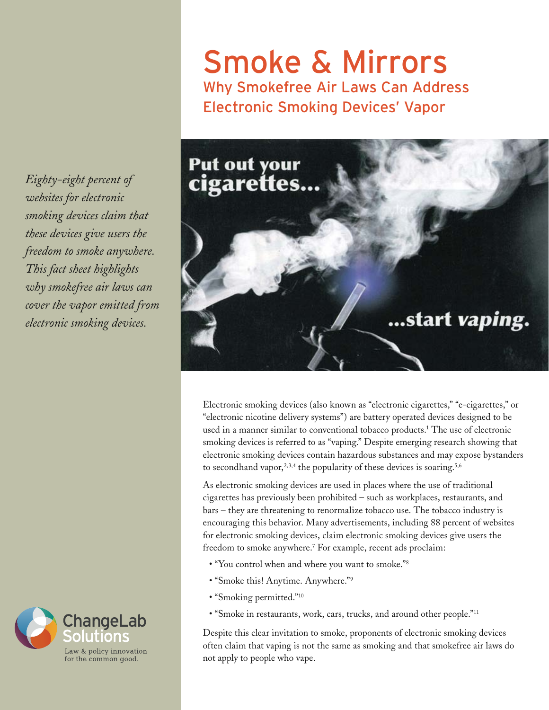*Eighty-eight percent of websites for electronic smoking devices claim that these devices give users the freedom to smoke anywhere. This fact sheet highlights why smokefree air laws can cover the vapor emitted from electronic smoking devices.*



## Smoke & Mirrors Why Smokefree Air Laws Can Address Electronic Smoking Devices' Vapor



Electronic smoking devices (also known as "electronic cigarettes," "e-cigarettes," or "electronic nicotine delivery systems") are battery operated devices designed to be used in a manner similar to conventional tobacco products.1 The use of electronic smoking devices is referred to as "vaping." Despite emerging research showing that electronic smoking devices contain hazardous substances and may expose bystanders to secondhand vapor,<sup>2,3,4</sup> the popularity of these devices is soaring.<sup>5,6</sup>

As electronic smoking devices are used in places where the use of traditional cigarettes has previously been prohibited – such as workplaces, restaurants, and bars – they are threatening to renormalize tobacco use. The tobacco industry is encouraging this behavior. Many advertisements, including 88 percent of websites for electronic smoking devices, claim electronic smoking devices give users the freedom to smoke anywhere.<sup>7</sup> For example, recent ads proclaim:

- "You control when and where you want to smoke."<sup>8</sup>
- "Smoke this! Anytime. Anywhere."9
- "Smoking permitted."<sup>10</sup>
- "Smoke in restaurants, work, cars, trucks, and around other people."<sup>11</sup>

Despite this clear invitation to smoke, proponents of electronic smoking devices often claim that vaping is not the same as smoking and that smokefree air laws do not apply to people who vape.